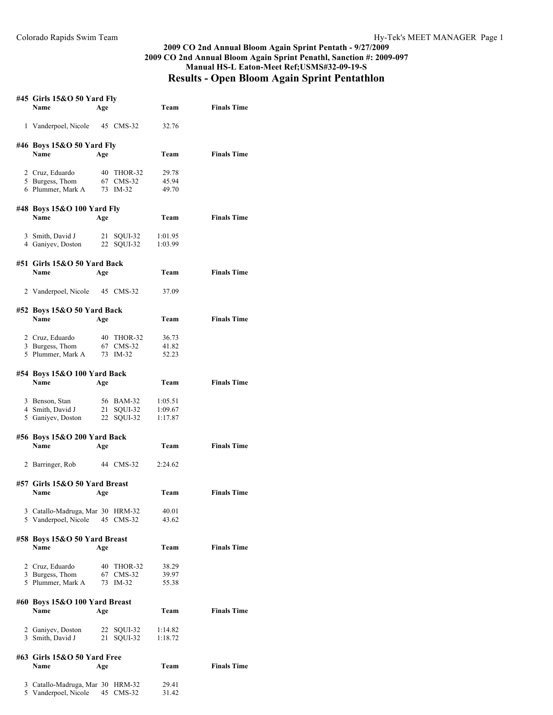## **2009 CO 2nd Annual Bloom Again Sprint Pentath - 9/27/2009 2009 CO 2nd Annual Bloom Again Sprint Penathl, Sanction #: 2009-097 Manual HS-L Eaton-Meet Ref;USMS#32-09-19-S Results - Open Bloom Again Sprint Pentathlon**

| #45 Girls 15&O 50 Yard Fly<br>Name                       | Age      |                                       | Team                          | <b>Finals Time</b> |
|----------------------------------------------------------|----------|---------------------------------------|-------------------------------|--------------------|
| 1 Vanderpoel, Nicole                                     |          | 45 CMS-32                             | 32.76                         |                    |
| #46 Boys 15&O 50 Yard Fly<br>Name                        | Age      |                                       | Team                          | <b>Finals Time</b> |
| 2 Cruz, Eduardo<br>5 Burgess, Thom<br>6 Plummer, Mark A  |          | 40 THOR-32<br>67 CMS-32<br>73 IM-32   | 29.78<br>45.94<br>49.70       |                    |
| #48 Boys 15&O 100 Yard Fly<br>Name                       | Age      |                                       | Team                          | <b>Finals Time</b> |
| 3 Smith, David J<br>4 Ganiyev, Doston                    |          | 21 SQUI-32<br>22 SQUI-32              | 1:01.95<br>1:03.99            |                    |
| #51 Girls 15&O 50 Yard Back<br><b>Name</b>               | Age      |                                       | Team                          | <b>Finals Time</b> |
| 2 Vanderpoel, Nicole                                     |          | 45 CMS-32                             | 37.09                         |                    |
| #52 Boys 15&O 50 Yard Back<br><b>Name</b>                | Age      |                                       | Team                          | <b>Finals Time</b> |
| 2 Cruz, Eduardo<br>3 Burgess, Thom<br>5 Plummer, Mark A  |          | 40 THOR-32<br>67 CMS-32<br>73 IM-32   | 36.73<br>41.82<br>52.23       |                    |
| #54 Boys 15&O 100 Yard Back<br>Name                      | Age      |                                       | Team                          | <b>Finals Time</b> |
| 3 Benson, Stan<br>4 Smith, David J<br>5 Ganiyev, Doston  |          | 56 BAM-32<br>21 SQUI-32<br>22 SQUI-32 | 1:05.51<br>1:09.67<br>1:17.87 |                    |
| #56 Boys 15&O 200 Yard Back<br>Name                      | Age      |                                       | Team                          | <b>Finals Time</b> |
| 2 Barringer, Rob                                         |          | 44 CMS-32                             | 2:24.62                       |                    |
| #57 Girls 15&O 50 Yard Breast<br>Name                    | Age      |                                       | Team                          | <b>Finals Time</b> |
| 3 Catallo-Madruga, Mar 30 HRM-32<br>5 Vanderpoel, Nicole |          | 45 CMS-32                             | 40.01<br>43.62                |                    |
| #58 Boys 15&O 50 Yard Breast<br>Name                     | Age      |                                       | Team                          | <b>Finals Time</b> |
| 2 Cruz, Eduardo<br>3 Burgess, Thom<br>5 Plummer, Mark A  |          | 40 THOR-32<br>67 CMS-32<br>73 IM-32   | 38.29<br>39.97<br>55.38       |                    |
| #60 Boys 15&O 100 Yard Breast<br><b>Name</b>             | Age      |                                       | Team                          | <b>Finals Time</b> |
| 2 Ganiyev, Doston<br>3 Smith, David J                    | 22<br>21 | SQUI-32<br>SQUI-32                    | 1:14.82<br>1:18.72            |                    |
| #63 Girls 15&O 50 Yard Free<br>Name                      | Age      |                                       | Team                          | <b>Finals Time</b> |
| 3 Catallo-Madruga, Mar 30 HRM-32<br>5 Vanderpoel, Nicole | 45       | $CMS-32$                              | 29.41<br>31.42                |                    |